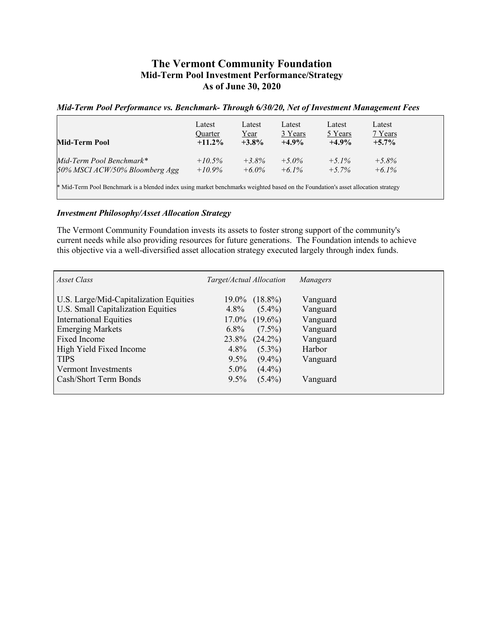## **The Vermont Community Foundation Mid-Term Pool Investment Performance/Strategy As of June 30, 2020**

## *Mid-Term Pool Performance vs. Benchmark- Through* **6***/30/20, Net of Investment Management Fees*

| Mid-Term Pool                                                                                                                     | Latest<br>Quarter<br>$+11.2\%$ | Latest<br><u>Year</u><br>$+3.8%$ | Latest<br>3 Years<br>$+4.9%$ | Latest<br>5 Years<br>$+4.9%$ | Latest<br>7 Years<br>$+5.7\%$ |  |
|-----------------------------------------------------------------------------------------------------------------------------------|--------------------------------|----------------------------------|------------------------------|------------------------------|-------------------------------|--|
| Mid-Term Pool Benchmark*                                                                                                          | $+10.5\%$                      | $+3.8\%$                         | $+5.0\%$                     | $+5.1\%$                     | $+5.8\%$                      |  |
| 50% MSCI ACW/50% Bloomberg Agg                                                                                                    | $+10.9\%$                      | $+6.0\%$                         | $+6.1\%$                     | $+5.7\%$                     | $+6.1\%$                      |  |
| * Mid-Term Pool Benchmark is a blended index using market benchmarks weighted based on the Foundation's asset allocation strategy |                                |                                  |                              |                              |                               |  |

## *Investment Philosophy/Asset Allocation Strategy*

The Vermont Community Foundation invests its assets to foster strong support of the community's current needs while also providing resources for future generations. The Foundation intends to achieve this objective via a well-diversified asset allocation strategy executed largely through index funds.

| Asset Class                            | Target/Actual Allocation | Managers |
|----------------------------------------|--------------------------|----------|
| U.S. Large/Mid-Capitalization Equities | $19.0\%$ $(18.8\%)$      | Vanguard |
| U.S. Small Capitalization Equities     | $(5.4\%)$<br>$4.8\%$     | Vanguard |
| <b>International Equities</b>          | $17.0\%$ $(19.6\%)$      | Vanguard |
| <b>Emerging Markets</b>                | $(7.5\%)$<br>$6.8\%$     | Vanguard |
| Fixed Income                           | $23.8\%$ $(24.2\%)$      | Vanguard |
| High Yield Fixed Income                | $(5.3\%)$<br>$4.8\%$     | Harbor   |
| <b>TIPS</b>                            | $9.5\%$<br>$(9.4\%)$     | Vanguard |
| Vermont Investments                    | $(4.4\%)$<br>$5.0\%$     |          |
| Cash/Short Term Bonds                  | $(5.4\%)$<br>$9.5\%$     | Vanguard |
|                                        |                          |          |